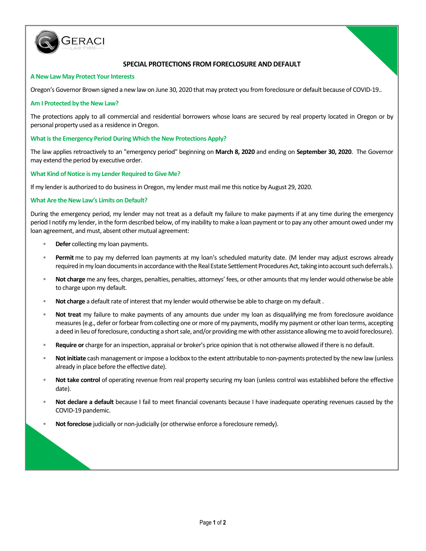

# **SPECIAL PROTECTIONS FROM FORECLOSURE AND DEFAULT**

#### **A New Law May Protect Your Interests**

Oregon's Governor Brown signed a new law on June 30, 2020 that may protect you from foreclosure or default because of COVID-19..

#### **Am I Protected by the New Law?**

The protections apply to all commercial and residential borrowers whose loans are secured by real property located in Oregon or by personal property used as a residence in Oregon.

#### **What is the Emergency Period During Which the New Protections Apply?**

The law applies retroactively to an "emergency period" beginning on **March 8, 2020** and ending on **September 30, 2020**. The Governor may extend the period by executive order.

## **What Kind of Notice is my Lender Required to Give Me?**

If my lender is authorized to do business in Oregon, my lender must mail me this notice by August 29, 2020.

## **What Are the New Law's Limits on Default?**

During the emergency period, my lender may not treat as a default my failure to make payments if at any time during the emergency period I notify my lender, in the form described below, of my inability to make a loan payment or to pay any other amount owed under my loan agreement, and must, absent other mutual agreement:

- **Defer** collecting my loan payments.
- **Permit** me to pay my deferred loan payments at my loan's scheduled maturity date. (M lender may adjust escrows already required in my loan documents in accordance with the Real Estate Settlement Procedures Act, taking into account such deferrals.).
- **Not charge** me any fees, charges, penalties, penalties, attorneys' fees, or other amounts that my lender would otherwise be able to charge upon my default.
- **Not charge** a default rate of interest that my lender would otherwise be able to charge on my default .
- **Not treat** my failure to make payments of any amounts due under my loan as disqualifying me from foreclosure avoidance measures (e.g., defer or forbear from collecting one or more of my payments, modify my payment or other loan terms, accepting a deed in lieu of foreclosure, conducting a short sale, and/or providing me with other assistance allowing me to avoid foreclosure).
- **Require or** charge for an inspection, appraisal or broker's price opinion that is not otherwise allowed if there is no default.
- **Not initiate** cash management or impose a lockbox to the extent attributable to non-payments protected by the new law (unless already in place before the effective date).
- **Not take control** of operating revenue from real property securing my loan (unless control was established before the effective date).
- **Not declare a default** because I fail to meet financial covenants because I have inadequate operating revenues caused by the COVID-19 pandemic.
- **Not foreclose** judicially or non-judicially (or otherwise enforce a foreclosure remedy).